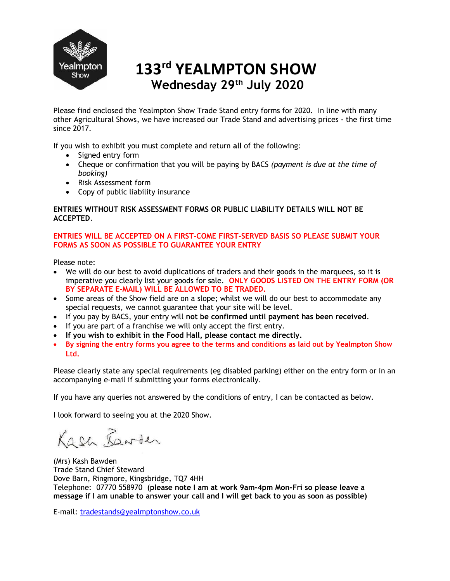

# Wednesday 29th July 2020 133rd YEALMPTON SHOW

Please find enclosed the Yealmpton Show Trade Stand entry forms for 2020. In line with many other Agricultural Shows, we have increased our Trade Stand and advertising prices - the first time since 2017.

If you wish to exhibit you must complete and return all of the following:

- Signed entry form
- Cheque or confirmation that you will be paying by BACS (payment is due at the time of booking)
- Risk Assessment form
- Copy of public liability insurance

#### ENTRIES WITHOUT RISK ASSESSMENT FORMS OR PUBLIC LIABILITY DETAILS WILL NOT BE ACCEPTED.

### ENTRIES WILL BE ACCEPTED ON A FIRST-COME FIRST-SERVED BASIS SO PLEASE SUBMIT YOUR FORMS AS SOON AS POSSIBLE TO GUARANTEE YOUR ENTRY

Please note:

- We will do our best to avoid duplications of traders and their goods in the marquees, so it is imperative you clearly list your goods for sale. ONLY GOODS LISTED ON THE ENTRY FORM (OR BY SEPARATE E-MAIL) WILL BE ALLOWED TO BE TRADED.
- Some areas of the Show field are on a slope; whilst we will do our best to accommodate any special requests, we cannot guarantee that your site will be level.
- If you pay by BACS, your entry will not be confirmed until payment has been received.
- If you are part of a franchise we will only accept the first entry.
- If you wish to exhibit in the Food Hall, please contact me directly.
- By signing the entry forms you agree to the terms and conditions as laid out by Yealmpton Show Ltd.

Please clearly state any special requirements (eg disabled parking) either on the entry form or in an accompanying e-mail if submitting your forms electronically.

If you have any queries not answered by the conditions of entry, I can be contacted as below.

I look forward to seeing you at the 2020 Show.

Kash Lawder

(Mrs) Kash Bawden Trade Stand Chief Steward Dove Barn, Ringmore, Kingsbridge, TQ7 4HH Telephone: 07770 558970 (please note I am at work 9am-4pm Mon-Fri so please leave a message if I am unable to answer your call and I will get back to you as soon as possible)

E-mail: tradestands@yealmptonshow.co.uk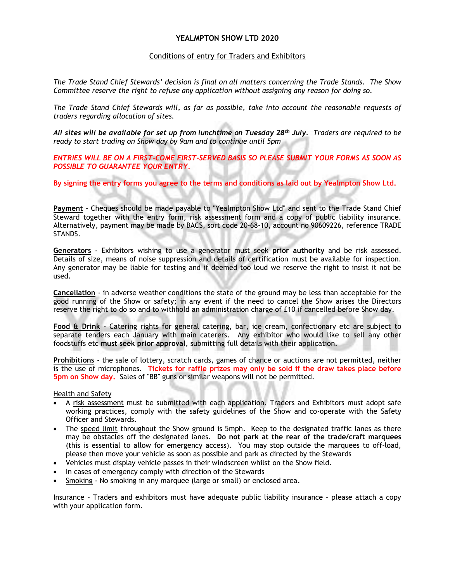#### YEALMPTON SHOW LTD 2020

#### Conditions of entry for Traders and Exhibitors

The Trade Stand Chief Stewards' decision is final on all matters concerning the Trade Stands. The Show Committee reserve the right to refuse any application without assigning any reason for doing so.

The Trade Stand Chief Stewards will, as far as possible, take into account the reasonable requests of traders regarding allocation of sites.

All sites will be available for set up from lunchtime on Tuesday  $28<sup>th</sup>$  July. Traders are required to be ready to start trading on Show day by 9am and to continue until 5pm

ENTRIES WILL BE ON A FIRST-COME FIRST-SERVED BASIS SO PLEASE SUBMIT YOUR FORMS AS SOON AS POSSIBLE TO GUARANTEE YOUR ENTRY.

By signing the entry forms you agree to the terms and conditions as laid out by Yealmpton Show Ltd.

Payment - Cheques should be made payable to "Yealmpton Show Ltd" and sent to the Trade Stand Chief Steward together with the entry form, risk assessment form and a copy of public liability insurance. Alternatively, payment may be made by BACS, sort code 20-68-10, account no 90609226, reference TRADE STANDS.

Generators - Exhibitors wishing to use a generator must seek prior authority and be risk assessed. Details of size, means of noise suppression and details of certification must be available for inspection. Any generator may be liable for testing and if deemed too loud we reserve the right to insist it not be used.

Cancellation - in adverse weather conditions the state of the ground may be less than acceptable for the good running of the Show or safety; in any event if the need to cancel the Show arises the Directors reserve the right to do so and to withhold an administration charge of £10 if cancelled before Show day.

Food & Drink - Catering rights for general catering, bar, ice cream, confectionary etc are subject to separate tenders each January with main caterers. Any exhibitor who would like to sell any other foodstuffs etc must seek prior approval, submitting full details with their application.

Prohibitions - the sale of lottery, scratch cards, games of chance or auctions are not permitted, neither is the use of microphones. Tickets for raffle prizes may only be sold if the draw takes place before 5pm on Show day. Sales of "BB" guns or similar weapons will not be permitted.

Health and Safety

- A risk assessment must be submitted with each application. Traders and Exhibitors must adopt safe working practices, comply with the safety guidelines of the Show and co-operate with the Safety Officer and Stewards.
- The speed limit throughout the Show ground is 5mph. Keep to the designated traffic lanes as there may be obstacles off the designated lanes. Do not park at the rear of the trade/craft marquees (this is essential to allow for emergency access). You may stop outside the marquees to off-load, please then move your vehicle as soon as possible and park as directed by the Stewards
- Vehicles must display vehicle passes in their windscreen whilst on the Show field.
- In cases of emergency comply with direction of the Stewards
- Smoking No smoking in any marquee (large or small) or enclosed area.

Insurance – Traders and exhibitors must have adequate public liability insurance – please attach a copy with your application form.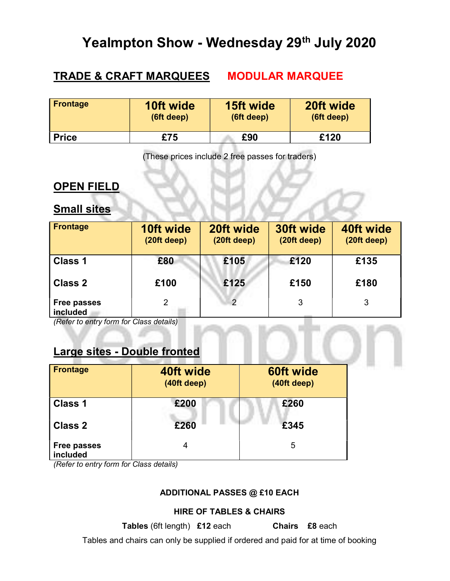# Yealmpton Show - Wednesday 29<sup>th</sup> July 2020

# TRADE & CRAFT MARQUEES MODULAR MARQUEE

| <b>Frontage</b> | 10ft wide  | 15ft wide  | 20ft wide  |
|-----------------|------------|------------|------------|
|                 | (6ft deep) | (6ft deep) | (6ft deep) |
| <b>Price</b>    | £75        | £90        | £120       |

(These prices include 2 free passes for traders)

## OPEN FIELD

## **Small sites**

| <b>Frontage</b>                | 10ft wide<br>(20ft deep) | 20ft wide<br>(20ft deep) | 30ft wide<br>(20ft deep) | 40ft wide<br>(20ft deep) |
|--------------------------------|--------------------------|--------------------------|--------------------------|--------------------------|
| <b>Class 1</b>                 | £80                      | £105                     | £120                     | £135                     |
| <b>Class 2</b>                 | £100                     | £125                     | £150                     | £180                     |
| <b>Free passes</b><br>included | 2                        | 2                        | 3                        | 3                        |

(Refer to entry form for Class details)

## Large sites - Double fronted

| <b>Frontage</b>                | 40ft wide<br>(40ft deep) | 60ft wide<br>(40ft deep) |
|--------------------------------|--------------------------|--------------------------|
| <b>Class 1</b>                 | £200                     | £260                     |
| <b>Class 2</b>                 | £260                     | £345                     |
| <b>Free passes</b><br>included | 4                        | 5                        |

(Refer to entry form for Class details)

## ADDITIONAL PASSES @ £10 EACH

## HIRE OF TABLES & CHAIRS

Tables (6ft length) £12 each Chairs £8 each

Tables and chairs can only be supplied if ordered and paid for at time of booking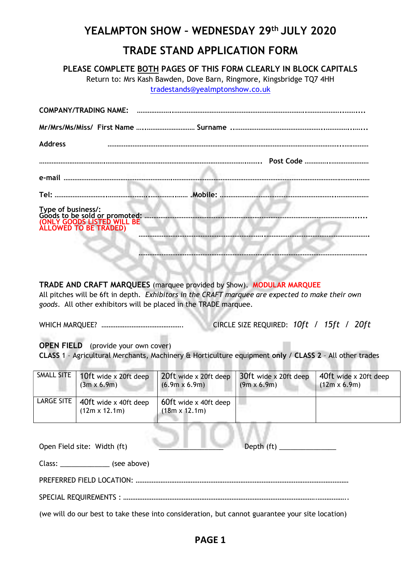# YEALMPTON SHOW – WEDNESDAY 29th JULY 2020 TRADE STAND APPLICATION FORM

PLEASE COMPLETE BOTH PAGES OF THIS FORM CLEARLY IN BLOCK CAPITALS

Return to: Mrs Kash Bawden, Dove Barn, Ringmore, Kingsbridge TQ7 4HH tradestands@yealmptonshow.co.uk

| <b>Address</b>                                                                                             |  |
|------------------------------------------------------------------------------------------------------------|--|
|                                                                                                            |  |
|                                                                                                            |  |
|                                                                                                            |  |
| Type of business/:<br>Goods to be sold or promoted:<br>(ONLY GOODS LISTED WILL BE<br>ALLOWED TO BE TRADED) |  |
|                                                                                                            |  |

TRADE AND CRAFT MARQUEES (marquee provided by Show). MODULAR MARQUEE All pitches will be 6ft in depth. Exhibitors in the CRAFT marquee are expected to make their own goods. All other exhibitors will be placed in the TRADE marquee.

WHICH MARQUEE? ………………………………………. CIRCLE SIZE REQUIRED: 10ft / 15ft / 20ft

OPEN FIELD (provide your own cover)

CLASS 1 – Agricultural Merchants, Machinery & Horticulture equipment only / CLASS 2 – All other trades

| SMALL SITE | 10ft wide x 20ft deep<br>$(3m \times 6.9m)$   | 20ft wide x 20ft deep<br>$(6.9m \times 6.9m)$ | 30ft wide x 20ft deep<br>$(9m \times 6.9m)$ | 40ft wide x 20ft deep<br>$(12m \times 6.9m)$ |
|------------|-----------------------------------------------|-----------------------------------------------|---------------------------------------------|----------------------------------------------|
| LARGE SITE | 40ft wide x 40ft deep<br>$(12m \times 12.1m)$ | 60ft wide x 40ft deep<br>$(18m \times 12.1m)$ |                                             |                                              |
|            |                                               |                                               |                                             |                                              |

| Open Field site: Width (ft)                                                                     |
|-------------------------------------------------------------------------------------------------|
| Class: _______________________(see above)                                                       |
|                                                                                                 |
|                                                                                                 |
| (we will do our best to take these into consideration, but cannot guarantee your site location) |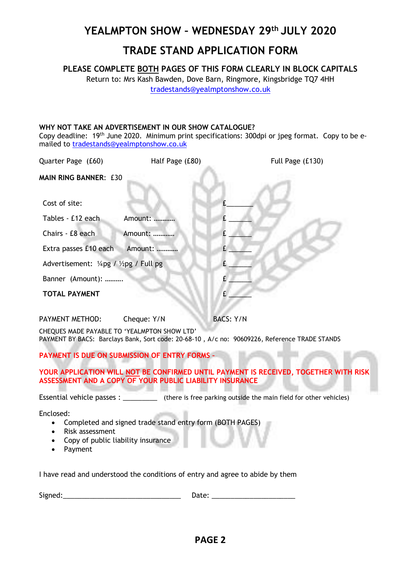# YEALMPTON SHOW – WEDNESDAY 29th JULY 2020

## TRADE STAND APPLICATION FORM

PLEASE COMPLETE BOTH PAGES OF THIS FORM CLEARLY IN BLOCK CAPITALS

Return to: Mrs Kash Bawden, Dove Barn, Ringmore, Kingsbridge TQ7 4HH tradestands@yealmptonshow.co.uk

### WHY NOT TAKE AN ADVERTISEMENT IN OUR SHOW CATALOGUE?

Copy deadline: 19<sup>th</sup> June 2020. Minimum print specifications: 300dpi or jpeg format. Copy to be emailed to tradestands@yealmptonshow.co.uk

| Quarter Page (£60)                     | Half Page (£80) | Full Page (£130) |
|----------------------------------------|-----------------|------------------|
| <b>MAIN RING BANNER: £30</b>           |                 |                  |
| Cost of site:                          |                 |                  |
| Tables - £12 each                      | Amount:         |                  |
| Chairs - £8 each                       | Amount:         |                  |
| Extra passes £10 each                  | Amount:         |                  |
| Advertisement: 1/4pg / 1/2pg / Full pg |                 |                  |
| Banner (Amount):                       |                 |                  |
| <b>TOTAL PAYMENT</b>                   |                 |                  |
|                                        |                 |                  |

PAYMENT METHOD: Cheque: Y/N BACS: Y/N

CHEQUES MADE PAYABLE TO 'YEALMPTON SHOW LTD' PAYMENT BY BACS: Barclays Bank, Sort code: 20-68-10 , A/c no: 90609226, Reference TRADE STANDS

### PAYMENT IS DUE ON SUBMISSION OF ENTRY FORMS –

YOUR APPLICATION WILL NOT BE CONFIRMED UNTIL PAYMENT IS RECEIVED. TOGETHER WITH RISK ASSESSMENT AND A COPY OF YOUR PUBLIC LIABILITY INSURANCE

Essential vehicle passes : \_\_\_\_\_\_\_\_\_ (there is free parking outside the main field for other vehicles)

Enclosed:

- Completed and signed trade stand entry form (BOTH PAGES)
- Risk assessment
- Copy of public liability insurance
- Payment

I have read and understood the conditions of entry and agree to abide by them

Signed:\_\_\_\_\_\_\_\_\_\_\_\_\_\_\_\_\_\_\_\_\_\_\_\_\_\_\_\_\_\_\_ Date: \_\_\_\_\_\_\_\_\_\_\_\_\_\_\_\_\_\_\_\_\_\_

PAGE 2